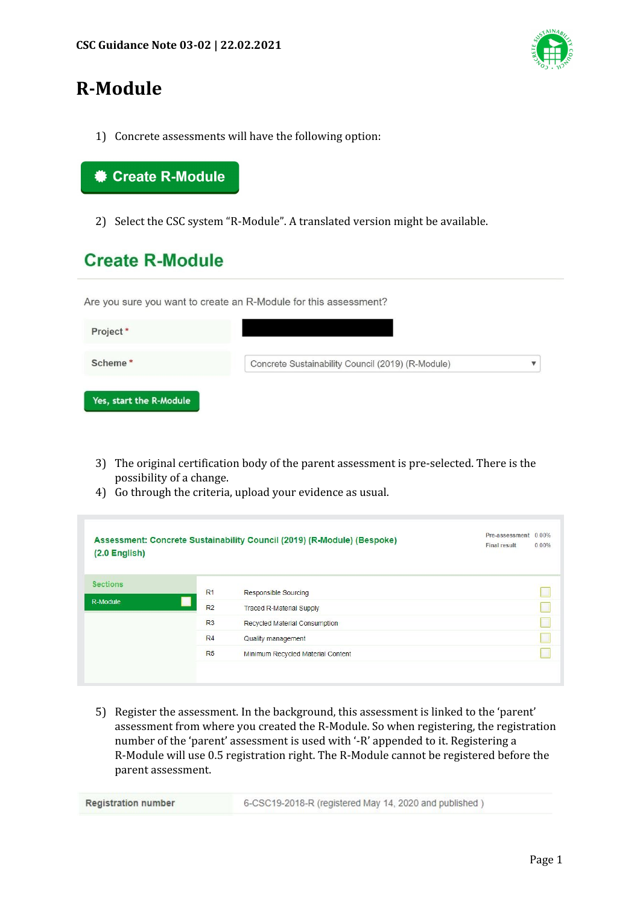

# **R-Module**

1) Concrete assessments will have the following option:

#### $*$  **Create R-Module**

2) Select the CSC system "R-Module". A translated version might be available.

## **Create R-Module**

Are you sure you want to create an R-Module for this assessment?

| Project*                |                                                   |  |
|-------------------------|---------------------------------------------------|--|
| Scheme*                 | Concrete Sustainability Council (2019) (R-Module) |  |
| Yes, start the R-Module |                                                   |  |

- 3) The original certification body of the parent assessment is pre-selected. There is the possibility of a change.
- 4) Go through the criteria, upload your evidence as usual.

| Assessment: Concrete Sustainability Council (2019) (R-Module) (Bespoke)<br>$(2.0$ English $)$ |                |                                   | Pre-assessment 0.00%<br><b>Final result</b> | 0.00% |
|-----------------------------------------------------------------------------------------------|----------------|-----------------------------------|---------------------------------------------|-------|
| <b>Sections</b>                                                                               | R <sub>1</sub> | Responsible Sourcing              |                                             |       |
| R-Module                                                                                      | R <sub>2</sub> | <b>Traced R-Material Supply</b>   |                                             |       |
|                                                                                               | R <sub>3</sub> | Recycled Material Consumption     |                                             |       |
|                                                                                               | R <sub>4</sub> | Quality management                |                                             |       |
|                                                                                               | R <sub>5</sub> | Minimum Recycled Material Content |                                             |       |

5) Register the assessment. In the background, this assessment is linked to the 'parent' assessment from where you created the R-Module. So when registering, the registration number of the 'parent' assessment is used with '-R' appended to it. Registering a R-Module will use 0.5 registration right. The R-Module cannot be registered before the parent assessment.

| <b>Registration number</b> | 6-CSC19-2018-R (registered May 14, 2020 and published) |
|----------------------------|--------------------------------------------------------|
|----------------------------|--------------------------------------------------------|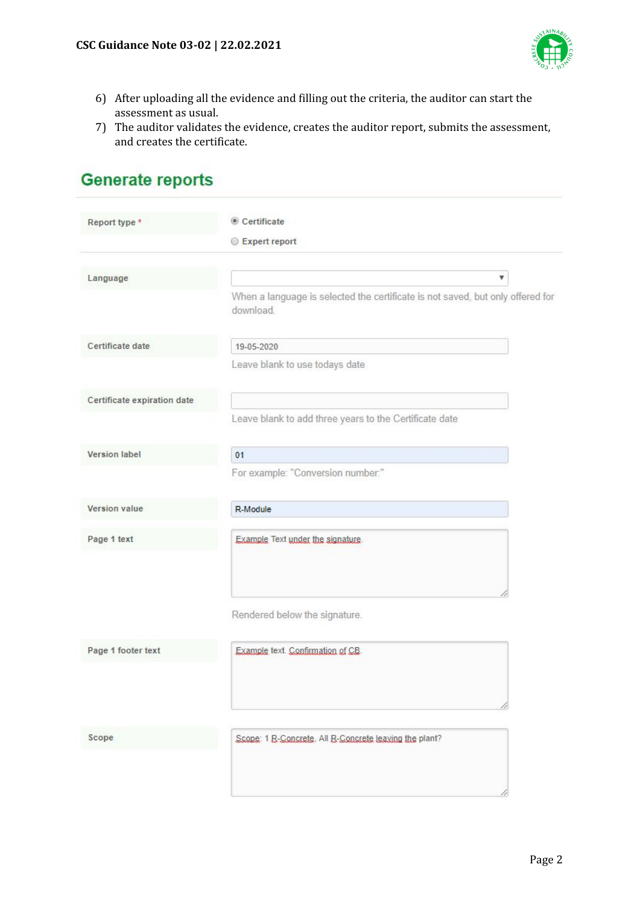

- 6) After uploading all the evidence and filling out the criteria, the auditor can start the assessment as usual.
- 7) The auditor validates the evidence, creates the auditor report, submits the assessment, and creates the certificate.

## **Generate reports**

| Report type *               | Certificate                                                                                 |
|-----------------------------|---------------------------------------------------------------------------------------------|
|                             | Expert report                                                                               |
| Language                    | ۳                                                                                           |
|                             | When a language is selected the certificate is not saved, but only offered for<br>download. |
| Certificate date            | 19-05-2020                                                                                  |
|                             | Leave blank to use todays date                                                              |
| Certificate expiration date |                                                                                             |
|                             | Leave blank to add three years to the Certificate date                                      |
| <b>Version label</b>        | 01                                                                                          |
|                             | For example: "Conversion number:"                                                           |
| Version value               | R-Module                                                                                    |
| Page 1 text                 | Example Text under the signature.                                                           |
|                             | Rendered below the signature.                                                               |
| Page 1 footer text          | Example text. Confirmation of CB.                                                           |
|                             |                                                                                             |
| Scope                       | Scope: 1 B-Concrete, All B-Concrete leaving the plant?                                      |
|                             |                                                                                             |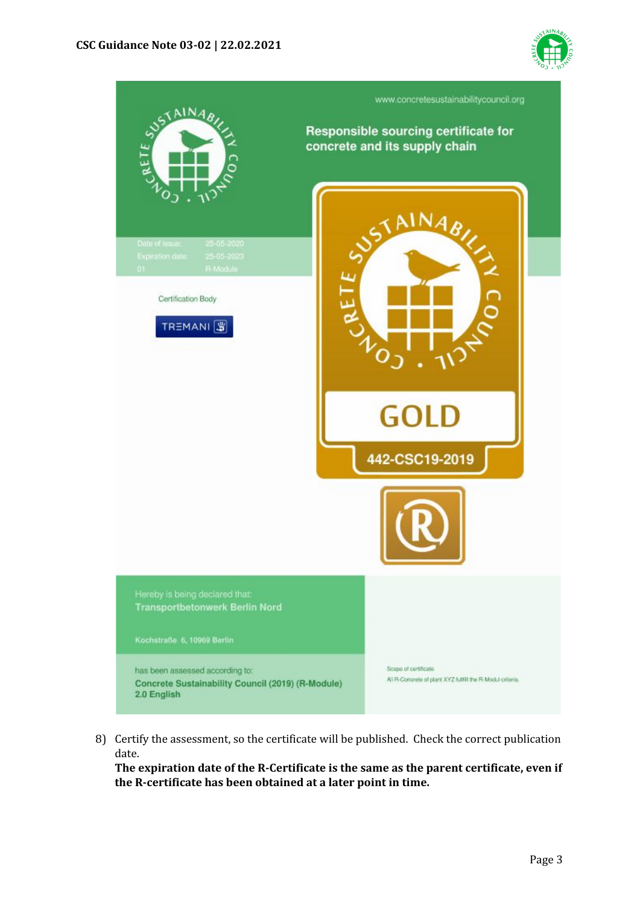



8) Certify the assessment, so the certificate will be published. Check the correct publication date.

**The expiration date of the R-Certificate is the same as the parent certificate, even if the R-certificate has been obtained at a later point in time.**